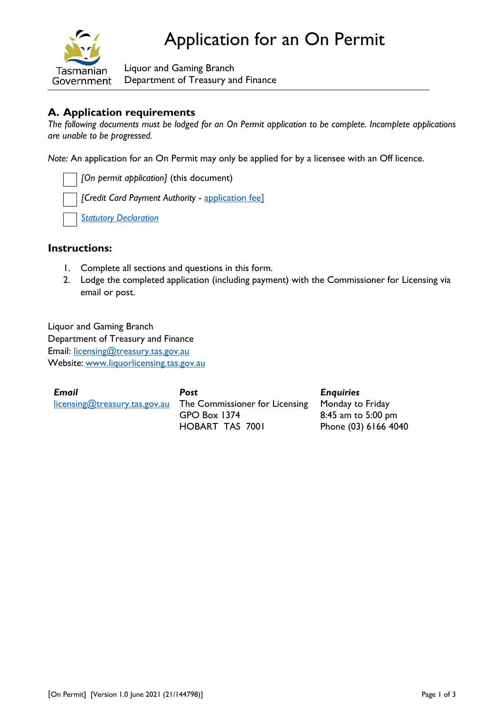

Liquor and Gaming Branch Department of Treasury and Finance

# **A. Application requirements**

*The following documents must be lodged for an On Permit application to be complete. Incomplete applications are unable to be progressed.*

*Note:* An application for an On Permit may only be applied for by a licensee with an Off licence.

*[On permit application]* (this document) *[Credit Card Payment Authority* - [application fee\]](https://www.treasury.tas.gov.au/liquor-and-gaming/fees) *[Statutory Declaration](https://www.treasury.tas.gov.au/Documents/Statutory%20Declaration.pdf)*

## **Instructions:**

- 1. Complete all sections and questions in this form*.*
- 2. Lodge the completed application (including payment) with the Commissioner for Licensing via email or post.

Liquor and Gaming Branch Department of Treasury and Finance Email: [licensing@treasury.tas.gov.au](mailto:licensing@treasury.tas.gov.au) Website: www.liquorlicensing.tas.gov.au

| <b>Email</b>                  | Post                                            | <b>Enquiries</b>     |
|-------------------------------|-------------------------------------------------|----------------------|
| licensing@treasury.tas.gov.au | The Commissioner for Licensing Monday to Friday |                      |
|                               | GPO Box 1374                                    | 8:45 am to 5:00 pm   |
|                               | <b>HOBART TAS 7001</b>                          | Phone (03) 6166 4040 |

[On Permit] [Version 1.0 June 2021 (21/144798)] Page 1 of 3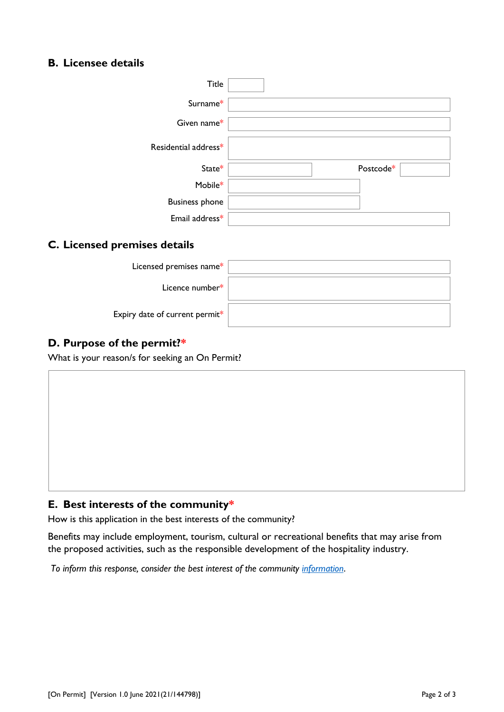# **B. Licensee details**

| Title                 |           |
|-----------------------|-----------|
| Surname*              |           |
| Given name*           |           |
| Residential address*  |           |
| State*                | Postcode* |
| Mobile*               |           |
| <b>Business phone</b> |           |
| Email address*        |           |

## **C. Licensed premises details**

| Licensed premises name*        |  |
|--------------------------------|--|
| Licence number*                |  |
| Expiry date of current permit* |  |

# **D. Purpose of the permit?\***

What is your reason/s for seeking an On Permit?

# **E. Best interests of the community\***

How is this application in the best interests of the community?

Benefits may include employment, tourism, cultural or recreational benefits that may arise from the proposed activities, such as the responsible development of the hospitality industry.

*To inform this response, consider the best interest of the community [information](https://www.treasury.tas.gov.au/liquor-and-gaming/forms/supporting-information#%E2%80%8BLiquorLicenceApplicantSubmission%3Cbr%3E)*.